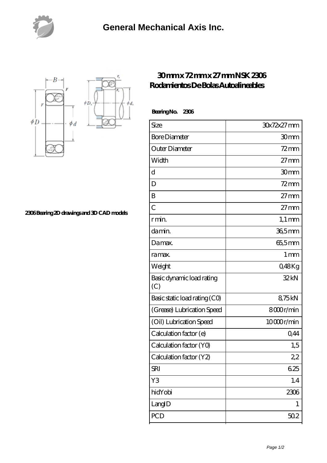



**[2306 Bearing 2D drawings and 3D CAD models](https://nfbxa.com/pic-64784984.html)**

## **[30 mm x 72 mm x 27 mm NSK 2306](https://nfbxa.com/aw-64784984-nsk-2306-rodamientos-de-bolas-autoalineables.html) [Rodamientos De Bolas Autoalineables](https://nfbxa.com/aw-64784984-nsk-2306-rodamientos-de-bolas-autoalineables.html)**

 **Bearing No. 2306**

| Size                             | 30x72x27 mm      |
|----------------------------------|------------------|
| <b>Bore Diameter</b>             | 30mm             |
| Outer Diameter                   | $72 \text{mm}$   |
| Width                            | $27 \text{mm}$   |
| d                                | 30mm             |
| D                                | $72$ mm          |
| B                                | $27 \text{mm}$   |
| $\overline{C}$                   | $27 \text{mm}$   |
| r min.                           | $1,1 \text{ mm}$ |
| damin.                           | 36,5mm           |
| Damax.                           | 655mm            |
| ra max.                          | 1 <sub>mm</sub>  |
| Weight                           | Q48Kg            |
| Basic dynamic load rating<br>(C) | 32kN             |
| Basic static load rating (CO)    | 875kN            |
| (Grease) Lubrication Speed       | 8000r/min        |
| (Oil) Lubrication Speed          | 10000r/min       |
| Calculation factor (e)           | 0,44             |
| Calculation factor (YO)          | 1,5              |
| Calculation factor (Y2)          | 22               |
| <b>SRI</b>                       | 625              |
| Y3                               | 1.4              |
| hidYobi                          | 2306             |
| LangID                           | 1                |
| PCD                              | 502              |